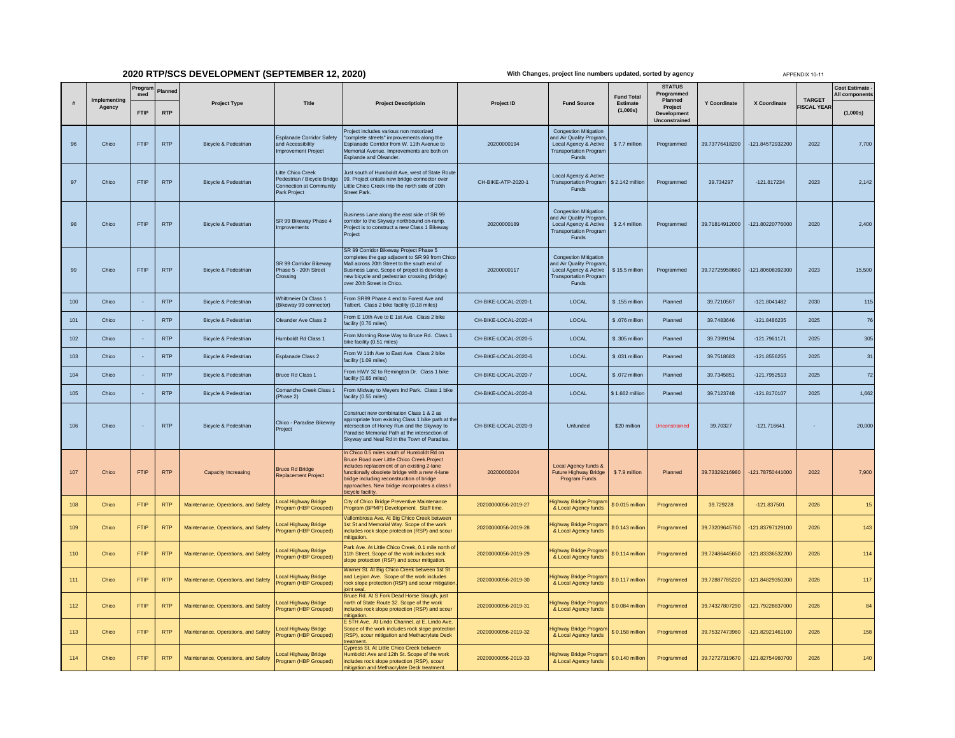## **2020 RTP/SCS DEVELOPMENT (SEPTEMBER 12, 2020)**

**With Changes, project line numbers updated, sorted by agency**

APPENDIX 10-11

|     |                        | Progran<br>med | Planne     |                                     |                                                                                             |                                                                                                                                                                                                                                                                                                       |                      |                                                                                                                                   | <b>Fund Total</b>    | <b>STATUS</b><br>Programmed                               |                     |                    | <b>TARGET</b>      | Cost Estimate<br>All components |
|-----|------------------------|----------------|------------|-------------------------------------|---------------------------------------------------------------------------------------------|-------------------------------------------------------------------------------------------------------------------------------------------------------------------------------------------------------------------------------------------------------------------------------------------------------|----------------------|-----------------------------------------------------------------------------------------------------------------------------------|----------------------|-----------------------------------------------------------|---------------------|--------------------|--------------------|---------------------------------|
|     | Implementing<br>Agency | <b>FTIP</b>    | <b>RTP</b> | <b>Project Type</b>                 | Title                                                                                       | <b>Project Descriptioin</b>                                                                                                                                                                                                                                                                           | Project ID           | <b>Fund Source</b>                                                                                                                | Estimate<br>(1,000s) | Planned<br>Project<br><b>Development</b><br>Unconstrained | <b>Y Coordinate</b> | X Coordinate       | <b>FISCAL YEAR</b> | (1,000s)                        |
| 96  | Chico                  | <b>FTIP</b>    | <b>RTP</b> | Bicycle & Pedestrian                | <b>Esplanade Corridor Safety</b><br>and Accessibility<br><b>Improvement Project</b>         | roject includes various non motorized<br>complete streets" improvements along the<br>Esplanade Corridor from W. 11th Avenue to<br>lemorial Avenue. Improvements are both on<br>Esplande and Oleander.                                                                                                 | 20200000194          | <b>Congestion Mitigation</b><br>and Air Quality Program<br>Local Agency & Active<br><b>Transportation Program</b><br><b>Funds</b> | \$7.7 million        | Programmed                                                | 39.73776418200      | -121.84572932200   | 2022               | 7,700                           |
| 97  | Chico                  | <b>FTIP</b>    | <b>RTP</b> | Bicycle & Pedestrian                | Litte Chico Creek<br>Pedestrian / Bicycle Bridge<br>Connection at Community<br>Park Project | ust south of Humboldt Ave, west of State Route<br>99. Project entails new bridge connector over<br>Little Chico Creek into the north side of 20th<br>Street Park.                                                                                                                                     | CH-BIKE-ATP-2020-1   | Local Agency & Active<br>Transportation Program \$ 2.142 million<br>Funds                                                         |                      | Programmed                                                | 39.734297           | $-121.817234$      | 2023               | 2,142                           |
| 98  | Chico                  | <b>FTIP</b>    | <b>RTP</b> | <b>Bicycle &amp; Pedestrian</b>     | SR 99 Bikeway Phase 4<br>mprovements                                                        | susiness Lane along the east side of SR 99<br>orridor to the Skyway northbound on-ramp.<br>roject is to construct a new Class 1 Bikeway<br>roject                                                                                                                                                     | 20200000189          | <b>Congestion Mitigation</b><br>and Air Quality Program<br>Local Agency & Active<br><b>Transportation Progran</b><br>Funds        | \$2.4 million        | Programmed                                                | 39.71814912000      | -121.80220776000   | 2020               | 2.400                           |
| 99  | Chico                  | <b>FTIP</b>    | <b>RTP</b> | <b>Bicycle &amp; Pedestrian</b>     | SR 99 Corridor Bikeway<br>Phase 5 - 20th Street<br>Crossing                                 | SR 99 Corridor Bikeway Project Phase 5<br>ompletes the gap adjacent to SR 99 from Chico<br>all across 20th Street to the south end of<br>Business Lane. Scope of project is develop a<br>ew bicycle and pedestrian crossing (bridge)<br>ver 20th Street in Chico.                                     | 20200000117          | <b>Congestion Mitigation</b><br>and Air Quality Program<br>Local Agency & Active<br><b>Transportation Progran</b><br>Funds        | \$15.5 million       | Programmed                                                | 39.72725958660      | $-121.80608392300$ | 2023               | 15,500                          |
| 100 | Chico                  |                | <b>RTP</b> | Bicycle & Pedestrian                | <b>Whittmeier Dr Class 1</b><br>Bikeway 99 connector)                                       | From SR99 Phase 4 end to Forest Ave and<br>albert. Class 2 bike facility (0.18 miles)                                                                                                                                                                                                                 | CH-BIKE-LOCAL-2020-1 | LOCAL                                                                                                                             | \$.155 million       | Planned                                                   | 39.7210567          | $-121.8041482$     | 2030               | 115                             |
| 101 | Chico                  |                | <b>RTP</b> | <b>Bicycle &amp; Pedestrian</b>     | Oleander Ave Class 2                                                                        | From E 10th Ave to E 1st Ave. Class 2 bike<br>acility (0.76 miles)                                                                                                                                                                                                                                    | CH-BIKE-LOCAL-2020-4 | LOCAL                                                                                                                             | \$.076 million       | Planned                                                   | 39.7483646          | $-121.8486235$     | 2025               | 76                              |
| 102 | Chico                  |                | <b>RTP</b> | Bicycle & Pedestrian                | <b>Humboldt Rd Class 1</b>                                                                  | From Morning Rose Way to Bruce Rd. Class 1<br>oike facility (0.51 miles)                                                                                                                                                                                                                              | CH-BIKE-LOCAL-2020-5 | LOCAL                                                                                                                             | \$.305 million       | Planned                                                   | 39.7399194          | $-121.7961171$     | 2025               | 305                             |
| 103 | Chico                  |                | <b>RTP</b> | <b>Bicycle &amp; Pedestrian</b>     | Esplanade Class 2                                                                           | From W 11th Ave to East Ave. Class 2 bike<br>acility (1.09 miles)                                                                                                                                                                                                                                     | CH-BIKE-LOCAL-2020-6 | LOCAL                                                                                                                             | \$.031 million       | Planned                                                   | 39.7518683          | $-121.8556255$     | 2025               | 31                              |
| 104 | Chico                  |                | <b>RTP</b> | <b>Bicycle &amp; Pedestrian</b>     | Bruce Rd Class 1                                                                            | From HWY 32 to Remington Dr. Class 1 bike<br>acility (0.65 miles)                                                                                                                                                                                                                                     | CH-BIKE-LOCAL-2020-7 | LOCAL                                                                                                                             | \$.072 million       | Planned                                                   | 39.7345851          | $-121.7952513$     | 2025               | 72                              |
| 105 | Chico                  |                | <b>RTP</b> | Bicycle & Pedestrian                | Comanche Creek Class 1<br>Phase 2)                                                          | From Midway to Meyers Ind Park. Class 1 bike<br>acility (0.55 miles)                                                                                                                                                                                                                                  | CH-BIKE-LOCAL-2020-8 | LOCAL                                                                                                                             | \$1.662 million      | Planned                                                   | 39.7123748          | $-121.8170107$     | 2025               | 1,662                           |
| 106 | Chico                  |                | <b>RTP</b> | <b>Bicycle &amp; Pedestrian</b>     | Chico - Paradise Bikeway<br>Project                                                         | Construct new combination Class 1 & 2 as<br>appropriate from existing Class 1 bike path at the<br>tersection of Honey Run and the Skyway to<br>aradise Memorial Path at the intersection of<br>Skyway and Neal Rd in the Town of Paradise.                                                            | CH-BIKE-LOCAL-2020-9 | Unfunded                                                                                                                          | \$20 million         | Unconstrained                                             | 39,70327            | $-121.716641$      | ч.                 | 20,000                          |
| 107 | Chico                  | <b>FTIP</b>    | <b>RTP</b> | Capacity Increasing                 | <b>Bruce Rd Bridge</b><br><b>Replacement Project</b>                                        | n Chico 0.5 miles south of Humboldt Rd on<br>Bruce Road over Little Chico Creek.Project<br>ncludes replacement of an existing 2-lane<br>inctionally obsolete bridge with a new 4-lane<br>pridge including reconstruction of bridge<br>approaches. New bridge incorporates a class I<br>cycle facility | 20200000204          | Local Agency funds &<br>Future Highway Bridge<br>Program Funds                                                                    | \$7.9 million        | Planned                                                   | 39.73329216980      | -121.78750441000   | 2022               | 7,900                           |
| 108 | Chico                  | <b>FTIP</b>    | <b>RTP</b> | Maintenance, Operations, and Safety | ocal Highway Bridge<br>Program (HBP Grouped)                                                | City of Chico Bridge Preventive Maintenance<br>Program (BPMP) Development. Staff time.                                                                                                                                                                                                                | 20200000056-2019-27  | lighway Bridge Progran<br>& Local Agency funds                                                                                    | \$ 0.015 million     | Programmed                                                | 39.729228           | $-121.837501$      | 2026               | 15                              |
| 109 | Chico                  | <b>FTIP</b>    | <b>RTP</b> | Maintenance, Operations, and Safety | ocal Highway Bridge<br>rogram (HBP Grouped)                                                 | /allombrosa Ave. At Big Chico Creek between<br>Ist St and Memorial Way. Scope of the work<br>ncludes rock slope protection (RSP) and scour<br>hitigation                                                                                                                                              | 20200000056-2019-28  | lighway Bridge Program<br>& Local Agency funds                                                                                    | \$ 0.143 million     | Programmed                                                | 39.73209645760      | 121.83797129100    | 2026               | 143                             |
| 110 | Chico                  | <b>FTIP</b>    | <b>RTP</b> | Maintenance, Operations, and Safety | ocal Highway Bridge<br>rogram (HBP Grouped)                                                 | Park Ave. At Little Chico Creek, 0.1 mile north o<br>1th Street. Scope of the work includes rock<br>slope protection (RSP) and scour mitigation.                                                                                                                                                      | 20200000056-2019-29  | <del>l</del> ighway Bridge Progran<br>& Local Agency funds                                                                        | \$0.114 million      | Programmed                                                | 39.72486445650      | -121.83336532200   | 2026               | 114                             |
| 111 | Chico                  | <b>FTIP</b>    | <b>RTP</b> | Maintenance, Operations, and Safety | ocal Highway Bridge<br>rogram (HBP Grouped)                                                 | Warner St. At Big Chico Creek between 1st St<br>and Legion Ave. Scope of the work includes<br>ock slope protection (RSP) and scour mitigatio<br><b>pint</b> seal                                                                                                                                      | 20200000056-2019-30  | lighway Bridge Progran<br>& Local Agency funds                                                                                    | \$0.117 million      | Programmed                                                | 39.72887785220      | 121.84829350200    | 2026               | 117                             |
| 112 | Chico                  | FTIP           | <b>RTP</b> | Maintenance, Operations, and Safety | ocal Highway Bridge<br>rogram (HBP Grouped)                                                 | Bruce Rd. At S Fork Dead Horse Slough, just<br>orth of State Route 32. Scope of the work<br>icludes rock slope protection (RSP) and scour<br>itigation                                                                                                                                                | 20200000056-2019-31  | lighway Bridge Program<br>& Local Agency funds                                                                                    | \$ 0.084 million     | Programmed                                                | 39.74327807290      | -121.79228837000   | 2026               | 84                              |
| 113 | Chico                  | <b>FTIP</b>    | <b>RTP</b> | Maintenance, Operations, and Safety | ocal Highway Bridge<br>rogram (HBP Grouped)                                                 | E 5TH Ave. At Lindo Channel, at E. Lindo Ave.<br>cope of the work includes rock slope protection<br>RSP), scour mitigation and Methacrylate Deck<br>eatment.                                                                                                                                          | 20200000056-2019-32  | lighway Bridge Program<br>& Local Agency funds                                                                                    | \$ 0.158 million     | Programmed                                                | 39.75327473960      | -121.82921461100   | 2026               | 158                             |
| 114 | Chico                  | <b>FTIP</b>    | <b>RTP</b> | Maintenance, Operations, and Safety | ocal Highway Bridge<br>rogram (HBP Grouped)                                                 | typress St. At Little Chico Creek between<br>lumboldt Ave and 12th St. Scope of the work<br>ncludes rock slope protection (RSP), scour<br>nitigation and Methacrylate Deck treatment.                                                                                                                 | 20200000056-2019-33  | lighway Bridge Program<br>& Local Agency funds                                                                                    | \$0.140 million      | Programmed                                                | 39.72727319670      | -121.82754960700   | 2026               | 140                             |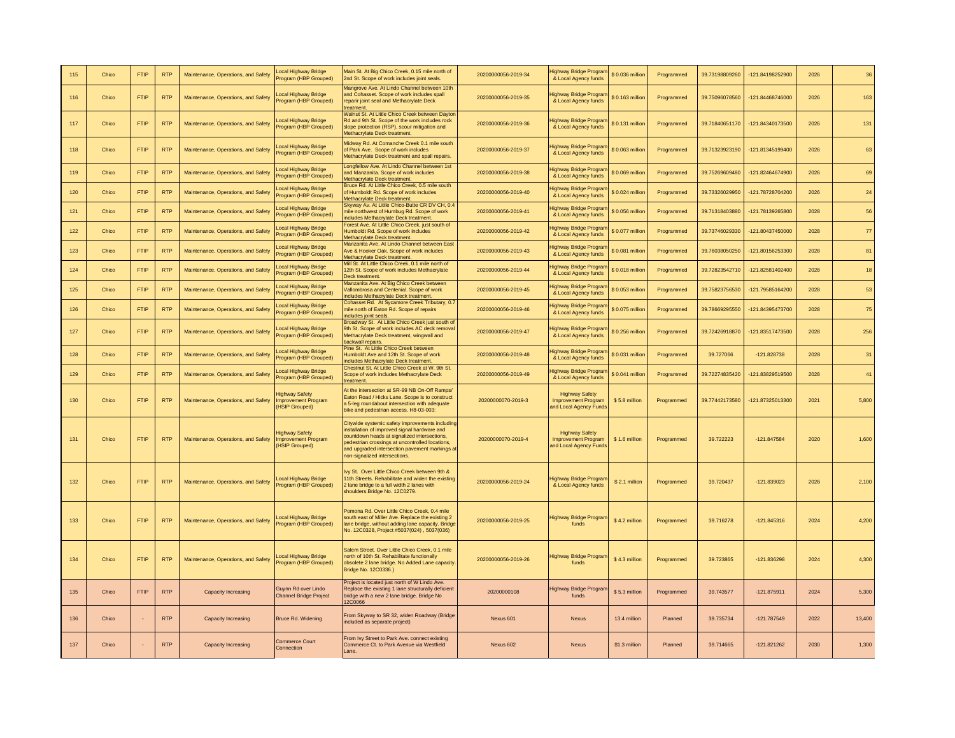| 115 | Chico | <b>FTIP</b> | <b>RTF</b> | Maintenance, Operations, and Safety | ocal Highway Bridge<br>rogram (HBP Grouped)                           | Main St. At Big Chico Creek, 0.15 mile north of<br>2nd St. Scope of work includes joint seals                                                                                                                                                                                       | 20200000056-2019-34 | lighway Bridge Progran<br>& Local Agency funds                                | \$ 0.036 million | Programmed | 39.73198809260 | -121.84198252900 | 2026 | 36         |
|-----|-------|-------------|------------|-------------------------------------|-----------------------------------------------------------------------|-------------------------------------------------------------------------------------------------------------------------------------------------------------------------------------------------------------------------------------------------------------------------------------|---------------------|-------------------------------------------------------------------------------|------------------|------------|----------------|------------------|------|------------|
| 116 | Chico | <b>FTIP</b> | <b>RTP</b> | Maintenance, Operations, and Safety | ocal Highway Bridge<br>rogram (HBP Grouped)                           | Mangrove Ave. At Lindo Channel between 10th<br>and Cohasset. Scope of work includes spall<br>reparir joint seal and Methacrylate Deck<br>reatment                                                                                                                                   | 20200000056-2019-35 | lighway Bridge Progran<br>& Local Agency funds                                | \$0.163 million  | Programmed | 39.75096078560 | -121.84468746000 | 2026 | 163        |
| 117 | Chico | <b>FTIP</b> | <b>RTP</b> | Maintenance, Operations, and Safety | ocal Highway Bridge<br>rogram (HBP Grouped)                           | Walnut St. At Little Chico Creek between Dayton<br>Rd and 9th St. Scope of the work includes rock<br>slope protection (RSP), scour mitigation and<br>lethacrylate Deck treatme                                                                                                      | 20200000056-2019-36 | lighway Bridge Progran<br>& Local Agency funds                                | \$ 0.131 million | Programmed | 39.71840651170 | -121.84340173500 | 2026 | 131        |
| 118 | Chico | <b>FTIP</b> | <b>RTP</b> | Maintenance, Operations, and Safety | <b>cal Highway Bridge</b><br>rogram (HBP Grouped)                     | Midway Rd. At Comanche Creek 0.1 mile south<br>of Park Ave. Scope of work includes<br>Methacrylate Deck treatment and spall repairs                                                                                                                                                 | 20200000056-2019-37 | lighway Bridge Prograr<br>& Local Agency funds                                | \$0.063 million  | Programmed | 39.71323923190 | -121.81345199400 | 2026 | 63         |
| 119 | Chico | <b>FTIP</b> | <b>RTP</b> | Maintenance, Operations, and Safety | <b>cal Highway Bridge</b><br>rogram (HBP Grouped)                     | Longfellow Ave. At Lindo Channel between 1st<br>and Manzanita. Scope of work includes<br><b>Methacrylate Deck treatment</b>                                                                                                                                                         | 20200000056-2019-38 | lighway Bridge Prograr<br>& Local Agency funds                                | \$0.069 million  | Programmed | 39.75269609480 | -121.82464674900 | 2026 | 69         |
| 120 | Chico | <b>FTIP</b> | <b>RTP</b> | Maintenance, Operations, and Safety | ocal Highway Bridge<br>rogram (HBP Grouped)                           | Bruce Rd. At Little Chico Creek, 0.5 mile south<br>of Humboldt Rd. Scope of work includes<br>Methacrylate Deck treatment.                                                                                                                                                           | 20200000056-2019-40 | lighway Bridge Prograi<br>& Local Agency funds                                | \$0.024 million  | Programmed | 39.73326029950 | -121.78728704200 | 2026 | 24         |
| 121 | Chico | <b>FTIP</b> | <b>RTP</b> | Maintenance, Operations, and Safety | ocal Highway Bridge<br>rogram (HBP Grouped)                           | Skyway Av. At Little Chico-Butte CR DV CH. 0.<br>nile northwest of Humbug Rd. Scope of work<br>ncludes Methacrylate Deck treatment                                                                                                                                                  | 20200000056-2019-41 | lighway Bridge Prograr<br>& Local Agency funds                                | \$0.056 million  | Programmed | 39.71318403880 | -121.78139265800 | 2028 | 56         |
| 122 | Chico | <b>FTIP</b> | <b>RTP</b> | Maintenance, Operations, and Safety | ocal Highway Bridge<br>rogram (HBP Grouped)                           | Forest Ave. At Little Chico Creek, just south of<br><b>Humboldt Rd. Scope of work includes</b><br>Methacrylate Deck treatment.                                                                                                                                                      | 20200000056-2019-42 | lighway Bridge Prograr<br>& Local Agency funds                                | \$0.077 million  | Programmed | 39.73746029330 | -121.80437450000 | 2028 | ${\bf 77}$ |
| 123 | Chico | <b>FTIP</b> | <b>RTP</b> | Maintenance, Operations, and Safety | ocal Highway Bridge<br>rogram (HBP Grouped)                           | Manzanita Ave. At Lindo Channel between East<br>we & Hooker Oak. Scope of work includes<br><b>Methacrylate Deck treatment</b>                                                                                                                                                       | 20200000056-2019-43 | lighway Bridge Prograi<br>& Local Agency funds                                | \$0.081 millior  | Programmed | 39.76038050250 | -121.80156253300 | 2028 | 81         |
| 124 | Chico | FTIP        | <b>RTF</b> | Maintenance, Operations, and Safety | ocal Highway Bridge<br>rogram (HBP Grouped)                           | Mill St. At Little Chico Creek, 0.1 mile north of<br>12th St. Scope of work includes Methacrylate<br>eck treatment.                                                                                                                                                                 | 20200000056-2019-44 | lighway Bridge Progran<br>& Local Agency funds                                | \$0.018 million  | Programmed | 39.72823542710 | -121.82581402400 | 2028 | $18\,$     |
| 125 | Chico | <b>FTIP</b> | <b>RTF</b> | Maintenance, Operations, and Safety | ocal Highway Bridge<br>rogram (HBP Grouped)                           | Manzanita Ave. At Big Chico Creek between<br>/allombrosa and Centenial. Scope of work<br><b>ncludes Methacrylate Deck treatment</b>                                                                                                                                                 | 20200000056-2019-45 | lighway Bridge Progran<br>& Local Agency funds                                | \$0.053 million  | Programmed | 39.75823756530 | -121.79585164200 | 2028 | 53         |
| 126 | Chico | <b>FTIP</b> | <b>RTF</b> | Maintenance, Operations, and Safety | ocal Highway Bridge<br>rogram (HBP Grouped)                           | Cohasset Rd. At Sycamore Creek Tributary, 0.7<br>nile north of Eaton Rd. Scope of repairs<br><b>ncludes joint seals</b>                                                                                                                                                             | 20200000056-2019-46 | lighway Bridge Prograr<br>& Local Agency funds                                | \$ 0.075 million | Programmed | 39.78669295550 | -121.84395473700 | 2028 | 75         |
| 127 | Chico | <b>FTIP</b> | <b>RTP</b> | Maintenance, Operations, and Safety | ocal Highway Bridge<br>rogram (HBP Grouped)                           | Broadway St. At Little Chico Creek just south of<br>9th St. Scope of work includes AC deck removal<br>Methacrylate Deck treatment, wingwall and<br>packwall repairs                                                                                                                 | 20200000056-2019-47 | lighway Bridge Progran<br>& Local Agency funds                                | \$0.256 million  | Programmed | 39.72426918870 | -121.83517473500 | 2028 | 256        |
| 128 | Chico | <b>FTIP</b> | <b>RTP</b> | Maintenance, Operations, and Safety | ocal Highway Bridge<br>rogram (HBP Grouped)                           | Pine St. At Little Chico Creek between<br>Humboldt Ave and 12th St. Scope of work<br>ncludes Methacrylate Deck treatment                                                                                                                                                            | 20200000056-2019-48 | lighway Bridge Prograi<br>& Local Agency funds                                | \$0.031 million  | Programmed | 39.727066      | $-121.828738$    | 2028 | 31         |
| 129 | Chico | <b>FTIP</b> | <b>RTP</b> | Maintenance, Operations, and Safety | ocal Highway Bridge<br>rogram (HBP Grouped)                           | Chestnut St. At Little Chico Creek at W. 9th St.<br>Scope of work includes Methacrylate Deck<br>reatment                                                                                                                                                                            | 20200000056-2019-49 | lighway Bridge Prograr<br>& Local Agency funds                                | \$0.041 million  | Programmed | 39.72274835420 | -121.83829519500 | 2028 | 41         |
| 130 | Chico | <b>FTIP</b> | <b>RTP</b> | Maintenance, Operations, and Safety | <b>Highway Safety</b><br><b>Improvement Program</b><br>(HSIP Grouped) | At the intersection at SR-99 NB On-Off Ramps<br>Eaton Road / Hicks Lane. Scope is to construct<br>5-leg roundabout intersection with adequate<br>bike and pedestrian access. H8-03-003:                                                                                             | 20200000070-2019-3  | <b>Highway Safety</b><br><b>Improvement Program</b><br>and Local Agency Funds | \$5.8 million    | Programmed | 39.77442173580 | -121.87325013300 | 2021 | 5,800      |
| 131 | Chico | <b>FTIP</b> | <b>RTP</b> | Maintenance, Operations, and Safety | <b>Highway Safety</b><br>nprovement Program<br>(HSIP Grouped)         | Citywide systemic safety improvements includin<br>nstallation of improved signal hardware and<br>countdown heads at signalized intersections,<br>bedestrian crossings at uncontrolled locations,<br>and upgraded intersection pavement markings at<br>non-signalized intersections. | 20200000070-2019-4  | <b>Highway Safety</b><br><b>Improvement Program</b><br>and Local Agency Funds | \$1.6 million    | Programmed | 39,722223      | $-121.847584$    | 2020 | 1,600      |
| 132 | Chico | <b>FTIP</b> | <b>RTP</b> | Maintenance, Operations, and Safety | ocal Highway Bridge<br>rogram (HBP Grouped)                           | vy St. Over Little Chico Creek between 9th &<br>1th Streets. Rehabilitate and widen the existing<br>I lane bridge to a full width 2 lanes with<br>shoulders.Bridge No. 12C0279.                                                                                                     | 20200000056-2019-24 | lighway Bridge Progran<br>& Local Agency funds                                | \$2.1 million    | Programmed | 39.720437      | -121.839023      | 2026 | 2,100      |
| 133 | Chico | <b>FTIP</b> | <b>RTP</b> | Maintenance, Operations, and Safety | ocal Highway Bridge<br>rogram (HBP Grouped)                           | Pomona Rd. Over Little Chico Creek, 0.4 mile<br>south east of Miller Ave. Replace the existing 2<br>lane bridge, without adding lane capacity. Bridge<br>No. 12C0328, Project #5037(024), 5037(036)                                                                                 | 20200000056-2019-25 | <b>Highway Bridge Progran</b><br>funds                                        | \$4.2 million    | Programmed | 39.716278      | -121.845316      | 2024 | 4,200      |
| 134 | Chico | <b>FTIP</b> | <b>RTP</b> | Maintenance, Operations, and Safety | ocal Highway Bridge<br>rogram (HBP Grouped)                           | Salem Street, Over Little Chico Creek, 0.1 mile<br>north of 10th St. Rehabilitate functionally<br>obsolete 2 lane bridge. No Added Lane capacity<br>Bridge No. 12C0336.)                                                                                                            | 20200000056-2019-26 | lighway Bridge Progra<br>funds                                                | \$4.3 million    | Programmed | 39.723865      | $-121.836298$    | 2024 | 4,300      |
| 135 | Chico | <b>FTIP</b> | <b>RTP</b> | Capacity Increasing                 | Guynn Rd over Lindo<br><b>Channel Bridge Project</b>                  | Project is located just north of W Lindo Ave.<br>Replace the existing 1 lane structurally deficient<br>bridge with a new 2 lane bridge. Bridge No<br><b>2C0066</b>                                                                                                                  | 20200000108         | lighway Bridge Progra<br>funds                                                | \$5.3 million    | Programmed | 39.743577      | $-121.875911$    | 2024 | 5,300      |
| 136 | Chico |             | <b>RTP</b> | Capacity Increasing                 | Bruce Rd. Widening                                                    | From Skyway to SR 32, widen Roadway (Bridge<br>included as separate project)                                                                                                                                                                                                        | Nexus 601           | Nexus                                                                         | 13.4 million     | Planned    | 39.735734      | -121.787549      | 2022 | 13,400     |
| 137 | Chico |             | <b>RTP</b> | Capacity Increasing                 | <b>Commerce Court</b><br>Connection                                   | From Ivy Street to Park Ave, connect existing<br>Commerce Ct. to Park Avenue via Westfield<br>Lane.                                                                                                                                                                                 | Nexus 602           | <b>Nexus</b>                                                                  | \$1.3 million    | Planned    | 39.714665      | $-121.821262$    | 2030 | 1,300      |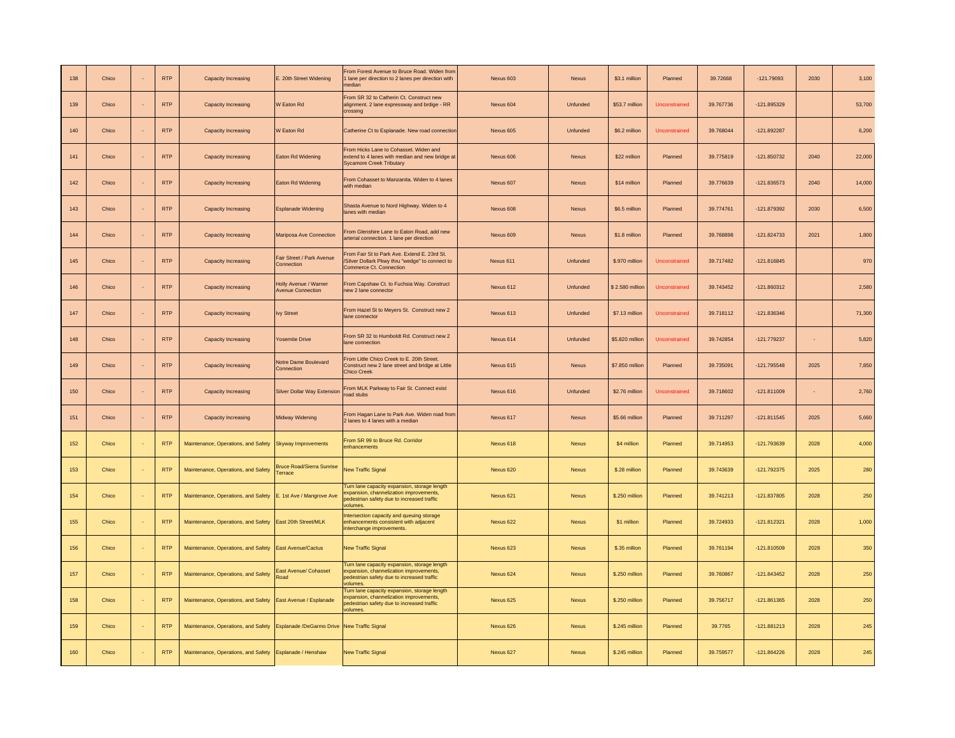| 138 | Chico | <b>RTP</b> | Capacity Increasing                                     | E. 20th Street Widening                           | From Forest Avenue to Bruce Road, Widen from<br>lane per direction to 2 lanes per direction with<br>edian                                         | Nexus 603 | Nexus        | \$3.1 million   | Planned       | 39,72668  | $-121.79093$  | 2030   | 3,100  |
|-----|-------|------------|---------------------------------------------------------|---------------------------------------------------|---------------------------------------------------------------------------------------------------------------------------------------------------|-----------|--------------|-----------------|---------------|-----------|---------------|--------|--------|
| 139 | Chico | <b>RTP</b> | Capacity Increasing                                     | <b>N</b> Eaton Rd                                 | From SR 32 to Catherin Ct. Construct new<br>alignment. 2 lane expressway and brdige - RR<br>crossing                                              | Nexus 604 | Unfunded     | \$53.7 million  | Unconstrained | 39.767736 | $-121.895329$ |        | 53,700 |
| 140 | Chico | <b>RTP</b> | Capacity Increasing                                     | <b>N</b> Eaton Rd                                 | Catherine Ct to Esplanade. New road connection                                                                                                    | Nexus 605 | Unfunded     | \$6.2 million   | Unconstrained | 39.768044 | $-121.892287$ |        | 6,200  |
| 141 | Chico | <b>RTP</b> | Capacity Increasing                                     | Eaton Rd Widening                                 | From Hicks I ane to Cohasset. Widen and<br>extend to 4 lanes with median and new bridge at<br>Sycamore Creek Tributary                            | Nexus 606 | Nexus        | \$22 million    | Planned       | 39.775819 | $-121.850732$ | 2040   | 22,000 |
| 142 | Chico | <b>RTP</b> | Capacity Increasing                                     | Eaton Rd Widening                                 | From Cohasset to Manzanita. Widen to 4 lanes<br>with median                                                                                       | Nexus 607 | <b>Nexus</b> | \$14 million    | Planned       | 39.776639 | $-121.836573$ | 2040   | 14,000 |
| 143 | Chico | <b>RTP</b> | Capacity Increasing                                     | <b>Esplanade Widening</b>                         | Shasta Avenue to Nord Highway. Widen to 4<br>anes with median                                                                                     | Nexus 608 | Nexus        | \$6.5 million   | Planned       | 39.774761 | $-121.879392$ | 2030   | 6.500  |
| 144 | Chico | <b>RTP</b> | Capacity Increasing                                     | Mariposa Ave Connection                           | From Glenshire Lane to Eaton Road, add new<br>rterial connection. 1 lane per direction                                                            | Nexus 609 | Nexus        | \$1.8 million   | Planned       | 39.768898 | $-121.824733$ | 2021   | 1,800  |
| 145 | Chico | <b>RTP</b> | Capacity Increasing                                     | Fair Street / Park Avenue<br>Connection           | From Fair St to Park Ave. Extend F. 23rd St.<br>Silver Dollark Pkwy thru "wedge" to connect to<br>Commerce Ct. Connection                         | Nexus 611 | Unfunded     | \$.970 million  | Unconstrained | 39.717482 | $-121.816845$ |        | 970    |
| 146 | Chico | <b>RTP</b> | Capacity Increasing                                     | Holly Avenue / Warner<br><b>Avenue Connection</b> | From Capshaw Ct. to Fuchsia Way. Construct<br>hew 2 lane connector                                                                                | Nexus 612 | Unfunded     | \$2.580 million | Unconstrained | 39.743452 | $-121.860312$ |        | 2,580  |
| 147 | Chico | <b>RTP</b> | Capacity Increasing                                     | <b>Ivy Street</b>                                 | From Hazel St to Meyers St. Construct new 2<br>lane connector                                                                                     | Nexus 613 | Unfunded     | \$7.13 million  | Unconstrained | 39.718112 | $-121.836346$ |        | 71,300 |
| 148 | Chico | <b>RTP</b> | Capacity Increasing                                     | <b>Cosemite Drive</b>                             | From SR 32 to Humboldt Rd. Construct new 2<br>ane connection                                                                                      | Nexus 614 | Unfunded     | \$5,820 million | Unconstrained | 39.742854 | $-121.779237$ | $\sim$ | 5.820  |
| 149 | Chico | <b>RTP</b> | Capacity Increasing                                     | Notre Dame Boulevard<br>Connection                | From Little Chico Creek to E. 20th Street.<br>Construct new 2 lane street and bridge at Little<br>Chico Creek                                     | Nexus 615 | <b>Nexus</b> | \$7,850 million | Planned       | 39.735091 | $-121.795548$ | 2025   | 7,850  |
| 150 | Chico | <b>RTP</b> | Capacity Increasing                                     | Silver Dollar Way Extension                       | From MLK Parkway to Fair St. Connect exist<br>oad stubs                                                                                           | Nexus 616 | Unfunded     | \$2.76 million  | Unconstrained | 39.718602 | $-121.811009$ | $\sim$ | 2,760  |
| 151 | Chico | <b>RTP</b> | Capacity Increasing                                     | Midway Widening                                   | From Hagan Lane to Park Ave. Widen road from<br>2 lanes to 4 lanes with a median                                                                  | Nexus 617 | <b>Nexus</b> | \$5.66 million  | Planned       | 39.711297 | $-121.811545$ | 2025   | 5,660  |
| 152 | Chico | <b>RTP</b> | Maintenance, Operations, and Safety                     | Skyway Improvements                               | From SR 99 to Bruce Rd. Corridor<br>enhancements                                                                                                  | Nexus 618 | <b>Nexus</b> | \$4 million     | Planned       | 39.714953 | -121.793639   | 2028   | 4,000  |
| 153 | Chico | <b>RTP</b> | Maintenance, Operations, and Safety                     | <b>Bruce Road/Sierra Sunrise</b><br>Terrace       | <b>New Traffic Signal</b>                                                                                                                         | Nexus 620 | <b>Nexus</b> | \$.28 million   | Planned       | 39.743639 | $-121.792375$ | 2025   | 280    |
| 154 | Chico | <b>RTP</b> | Maintenance, Operations, and Safety                     | E. 1st Ave / Mangrove Ave                         | Turn lane capacity expansion, storage length<br>expansion, channelization improvements,<br>bedestrian safety due to increased traffic<br>olumes   | Nexus 621 | Nexus        | \$.250 million  | Planned       | 39.741213 | $-121.837805$ | 2028   | 250    |
| 155 | Chico | <b>RTP</b> | Maintenance, Operations, and Safety                     | East 20th Street/MLK                              | ntersection capacity and queuing storage<br>enhancements consistent with adjacent<br>nterchange improvements.                                     | Nexus 622 | <b>Nexus</b> | \$1 million     | Planned       | 39.724933 | $-121.812321$ | 2028   | 1,000  |
| 156 | Chico | <b>RTP</b> | Maintenance, Operations, and Safety                     | <b>East Avenue/Cactus</b>                         | <b>New Traffic Signal</b>                                                                                                                         | Nexus 623 | <b>Nexus</b> | \$.35 million   | Planned       | 39.761194 | $-121.810509$ | 2028   | 350    |
| 157 | Chico | <b>RTP</b> | Maintenance, Operations, and Safety                     | East Avenue/ Cohasset<br>oad                      | Turn lane capacity expansion, storage length<br>expansion, channelization improvements,<br>bedestrian safety due to increased traffic<br>volumes. | Nexus 624 | <b>Nexus</b> | \$.250 million  | Planned       | 39.760867 | $-121.843452$ | 2028   | 250    |
| 158 | Chico | <b>RTP</b> | Maintenance, Operations, and Safety                     | East Avenue / Esplanade                           | Turn lane capacity expansion, storage length<br>expansion, channelization improvements,<br>bedestrian safety due to increased traffic<br>volumes. | Nexus 625 | Nexus        | \$.250 million  | Planned       | 39.756717 | $-121.861365$ | 2028   | 250    |
| 159 | Chico | <b>RTP</b> | Maintenance, Operations, and Safety                     | Esplanade /DeGarmo Drive New Traffic Signal       |                                                                                                                                                   | Nexus 626 | <b>Nexus</b> | \$.245 million  | Planned       | 39.7765   | $-121.881213$ | 2028   | 245    |
| 160 | Chico | <b>RTP</b> | Maintenance, Operations, and Safety Esplanade / Henshaw |                                                   | <b>New Traffic Signal</b>                                                                                                                         | Nexus 627 | <b>Nexus</b> | \$.245 million  | Planned       | 39.759577 | $-121.864226$ | 2028   | 245    |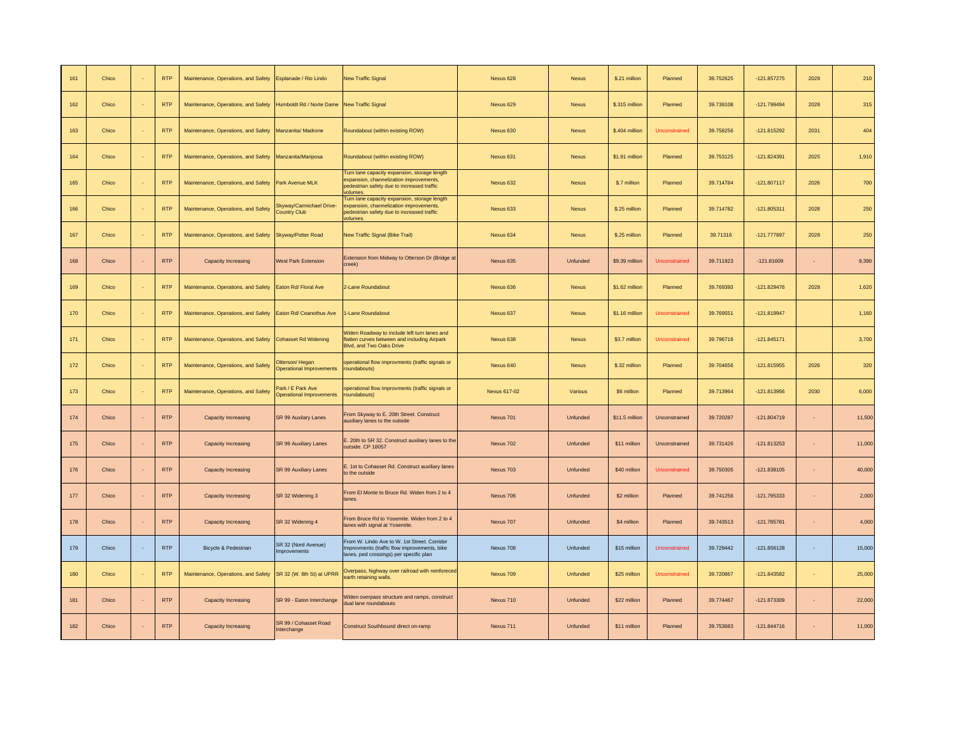| 161 | Chico | <b>RTP</b> | Maintenance, Operations, and Safety                                             | Esplanade / Rio Lindo                                | <b>New Traffic Signal</b>                                                                                                                        | Nexus 628    | <b>Nexus</b> | \$.21 million  | Planned       | 39.752625 | $-121.857275$ | 2028       | 210    |
|-----|-------|------------|---------------------------------------------------------------------------------|------------------------------------------------------|--------------------------------------------------------------------------------------------------------------------------------------------------|--------------|--------------|----------------|---------------|-----------|---------------|------------|--------|
| 162 | Chico | <b>RTP</b> | Maintenance, Operations, and Safety Humboldt Rd / Norte Dame New Traffic Signal |                                                      |                                                                                                                                                  | Nexus 629    | <b>Nexus</b> | \$.315 million | Planned       | 39.739108 | $-121.799494$ | 2028       | 315    |
| 163 | Chico | <b>RTP</b> | Maintenance, Operations, and Safety Manzanita/Madrone                           |                                                      | Roundabout (within existing ROW)                                                                                                                 | Nexus 630    | Nexus        | \$.404 million | Unconstrained | 39.758256 | $-121.815292$ | 2031       | 404    |
| 164 | Chico | <b>RTP</b> | Maintenance, Operations, and Safety                                             | Manzanita/Mariposa                                   | Roundabout (within existing ROW)                                                                                                                 | Nexus 631    | <b>Nexus</b> | \$1.91 million | Planned       | 39.753125 | $-121.824391$ | 2025       | 1,910  |
| 165 | Chico | <b>RTP</b> | Maintenance, Operations, and Safety                                             | Park Avenue MLK                                      | Furn lane capacity expansion, storage length<br>expansion, channelization improvements.<br>bedestrian safety due to increased traffic<br>volumes | Nexus 632    | Nexus        | \$.7 million   | Planned       | 39.714784 | $-121.807117$ | 2026       | 700    |
| 166 | Chico | <b>RTP</b> | Maintenance, Operations, and Safety                                             | Skyway/Carmichael Drive-<br><b>Country Club</b>      | Furn lane capacity expansion, storage length<br>xpansion, channelization improvements,<br>bedestrian safety due to increased traffic<br>rolumes. | Nexus 633    | <b>Nexus</b> | \$.25 million  | Planned       | 39.714782 | $-121.805311$ | 2028       | 250    |
| 167 | Chico | <b>RTP</b> | Maintenance, Operations, and Safety                                             | Skyway/Potter Road                                   | New Traffic Signal (Bike Trail)                                                                                                                  | Nexus 634    | <b>Nexus</b> | \$.25 million  | Planned       | 39.71316  | $-121.777897$ | 2028       | 250    |
| 168 | Chico | <b>RTP</b> | Capacity Increasing                                                             | <b>West Park Extension</b>                           | Extension from Midway to Otterson Dr (Bridge at<br>creek)                                                                                        | Nexus 635    | Unfunded     | \$9.39 million | Unconstrained | 39.711923 | $-121.81609$  | $\sim$     | 9,390  |
| 169 | Chico | <b>RTP</b> | Maintenance, Operations, and Safety                                             | Eaton Rd/ Floral Ave                                 | 2-Lane Roundabout                                                                                                                                | Nexus 636    | <b>Nexus</b> | \$1.62 million | Planned       | 39.769393 | $-121.829476$ | 2028       | 1,620  |
| 170 | Chico | <b>RTP</b> | Maintenance, Operations, and Safety                                             | Eaton Rd/ Ceanothus Ave                              | -Lane Roundabout                                                                                                                                 | Nexus 637    | Nexus        | \$1.16 million | Unconstrained | 39.769551 | $-121.819947$ |            | 1,160  |
| 171 | Chico | <b>RTP</b> | Maintenance, Operations, and Safety                                             | <b>Cohasset Rd Widening</b>                          | Widen Roadway to include left turn lanes and<br>latten curves between and including Airpark<br><b>Blvd, and Two Oaks Drive</b>                   | Nexus 638    | <b>Nexus</b> | \$3.7 million  | Unconstrained | 39.796716 | $-121.845171$ |            | 3,700  |
| 172 | Chico | <b>RTP</b> | Maintenance, Operations, and Safety                                             | Otterson/Hegan<br><b>Operational Improvements</b>    | operational flow improvments (traffic signals or<br>roundabouts)                                                                                 | Nexus 640    | Nexus        | \$.32 million  | Planned       | 39.704656 | $-121.815955$ | 2026       | 320    |
| 173 | Chico | <b>RTP</b> | Maintenance, Operations, and Safety                                             | Park / E Park Ave<br><b>Operational Improvements</b> | operational flow improvments (traffic signals or<br>roundabouts)                                                                                 | Nexus 617-02 | Various      | \$6 million    | Planned       | 39.713964 | $-121.813956$ | 2030       | 6,000  |
| 174 | Chico | <b>RTP</b> | Capacity Increasing                                                             | <b>SR 99 Auxilary Lanes</b>                          | From Skyway to E. 20th Street. Construct<br>auxiliary lanes to the outside                                                                       | Nexus 701    | Unfunded     | \$11.5 million | Unconstrained | 39.720287 | $-121.804719$ | $\sim$     | 11,500 |
| 175 | Chico | <b>RTP</b> | Capacity Increasing                                                             | SR 99 Auxiliary Lanes                                | . 20th to SR 32. Construct auxiliary lanes to the<br>outside. CP 18057                                                                           | Nexus 702    | Unfunded     | \$11 million   | Unconstrained | 39.731426 | $-121.813253$ | ×.         | 11,000 |
| 176 | Chico | <b>RTP</b> | <b>Capacity Increasing</b>                                                      | SR 99 Auxiliary Lanes                                | E. 1st to Cohasset Rd. Construct auxiliary lanes<br>to the outside                                                                               | Nexus 703    | Unfunded     | \$40 million   | Unconstrained | 39.750305 | $-121.838105$ | $\sim$     | 40,000 |
| 177 | Chico | <b>RTP</b> | Capacity Increasing                                                             | SR 32 Widening 3                                     | From El Monte to Bruce Rd. Widen from 2 to 4<br>lanes.                                                                                           | Nexus 706    | Unfunded     | \$2 million    | Planned       | 39.741256 | -121.795333   |            | 2,000  |
| 178 | Chico | <b>RTP</b> | Capacity Increasing                                                             | SR 32 Widening 4                                     | From Bruce Rd to Yosemite. Widen from 2 to 4<br>lanes with signal at Yosemite.                                                                   | Nexus 707    | Unfunded     | \$4 million    | Planned       | 39.743513 | $-121.785781$ | $\sim$     | 4,000  |
| 179 | Chico | <b>RTP</b> | Bicycle & Pedestrian                                                            | SR 32 (Nord Avenue)<br>mprovements                   | From W. Lindo Ave to W. 1st Street. Corridor<br>Improvments (traffic flow improvements, bike<br>anes, ped crossings) per specific plan           | Nexus 708    | Unfunded     | \$15 million   | Unconstrained | 39.729442 | $-121.856128$ | $\epsilon$ | 15,000 |
| 180 | Chico | <b>RTP</b> | Maintenance, Operations, and Safety                                             | SR 32 (W. 8th St) at UPRR                            | Overpass, highway over railroad with reinforece<br>arth retaining walls.                                                                         | Nexus 709    | Unfunded     | \$25 million   | Unconstrained | 39.720867 | $-121.843582$ | $\sim$     | 25,000 |
| 181 | Chico | <b>RTP</b> | Capacity Increasing                                                             | SR 99 - Eaton Interchange                            | Widen overpass structure and ramps, construct<br>dual lane roundabouts                                                                           | Nexus 710    | Unfunded     | \$22 million   | Planned       | 39.774467 | $-121.873309$ | $\sim$     | 22,000 |
| 182 | Chico | <b>RTP</b> | Capacity Increasing                                                             | SR 99 / Cohasset Road<br>Interchange                 | Construct Southbound direct on-ramp                                                                                                              | Nexus 711    | Unfunded     | \$11 million   | Planned       | 39.753683 | $-121.844716$ | $\sim$     | 11,000 |
|     |       |            |                                                                                 |                                                      |                                                                                                                                                  |              |              |                |               |           |               |            |        |